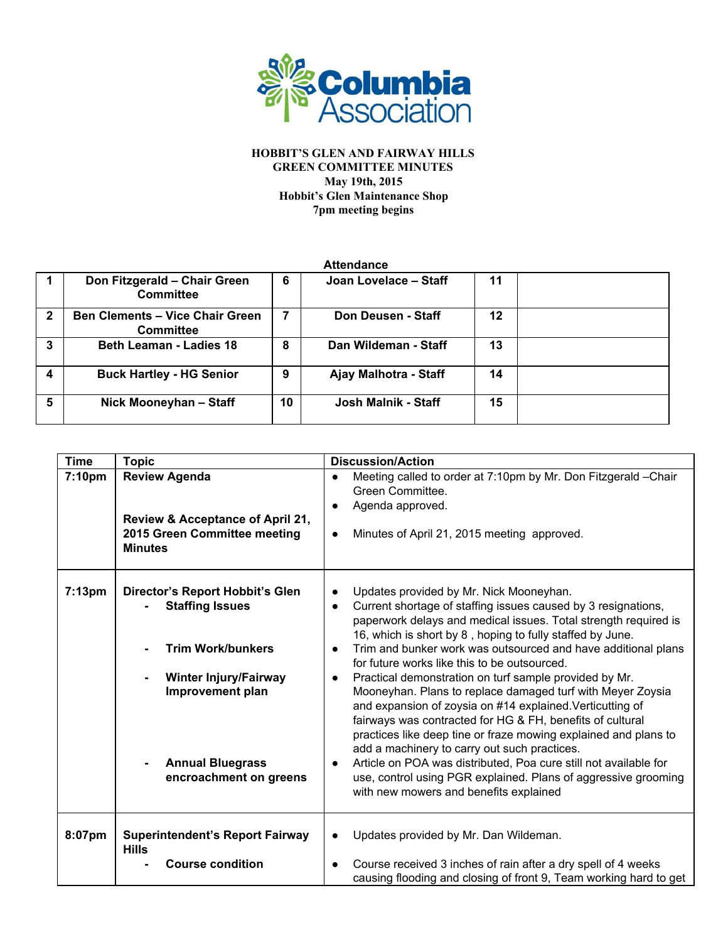

## **HOBBIT'S GLEN AND FAIRWAY HILLS GREEN COMMITTEE MINUTES May 19th, 2015 Hobbit's Glen Maintenance Shop 7pm meeting begins**

| <b>Attendance</b> |                                                            |    |                       |    |  |
|-------------------|------------------------------------------------------------|----|-----------------------|----|--|
|                   | Don Fitzgerald - Chair Green<br><b>Committee</b>           | 6  | Joan Lovelace - Staff | 11 |  |
| $\mathbf{2}$      | <b>Ben Clements - Vice Chair Green</b><br><b>Committee</b> | 7  | Don Deusen - Staff    | 12 |  |
| 3                 | <b>Beth Leaman - Ladies 18</b>                             | 8  | Dan Wildeman - Staff  | 13 |  |
|                   | <b>Buck Hartley - HG Senior</b>                            | 9  | Ajay Malhotra - Staff | 14 |  |
| 5                 | Nick Mooneyhan - Staff                                     | 10 | Josh Malnik - Staff   | 15 |  |

| <b>Time</b> | <b>Topic</b>                                                                                               | <b>Discussion/Action</b>                                                                                                                                                                                                                                                                                                                                                                                                                                                                                                                                                                                       |
|-------------|------------------------------------------------------------------------------------------------------------|----------------------------------------------------------------------------------------------------------------------------------------------------------------------------------------------------------------------------------------------------------------------------------------------------------------------------------------------------------------------------------------------------------------------------------------------------------------------------------------------------------------------------------------------------------------------------------------------------------------|
| 7:10pm      | <b>Review Agenda</b><br>Review & Acceptance of April 21,<br>2015 Green Committee meeting<br><b>Minutes</b> | Meeting called to order at 7:10pm by Mr. Don Fitzgerald -Chair<br>Green Committee.<br>Agenda approved.<br>Minutes of April 21, 2015 meeting approved.<br>$\bullet$                                                                                                                                                                                                                                                                                                                                                                                                                                             |
| 7:13pm      | <b>Director's Report Hobbit's Glen</b><br><b>Staffing Issues</b><br><b>Trim Work/bunkers</b>               | Updates provided by Mr. Nick Mooneyhan.<br>Current shortage of staffing issues caused by 3 resignations,<br>paperwork delays and medical issues. Total strength required is<br>16, which is short by 8, hoping to fully staffed by June.<br>Trim and bunker work was outsourced and have additional plans<br>$\bullet$                                                                                                                                                                                                                                                                                         |
|             | <b>Winter Injury/Fairway</b><br>Improvement plan<br><b>Annual Bluegrass</b><br>encroachment on greens      | for future works like this to be outsourced.<br>Practical demonstration on turf sample provided by Mr.<br>$\bullet$<br>Mooneyhan. Plans to replace damaged turf with Meyer Zoysia<br>and expansion of zoysia on #14 explained. Verticutting of<br>fairways was contracted for HG & FH, benefits of cultural<br>practices like deep tine or fraze mowing explained and plans to<br>add a machinery to carry out such practices.<br>Article on POA was distributed, Poa cure still not available for<br>use, control using PGR explained. Plans of aggressive grooming<br>with new mowers and benefits explained |
| 8:07pm      | <b>Superintendent's Report Fairway</b><br><b>Hills</b>                                                     | Updates provided by Mr. Dan Wildeman.                                                                                                                                                                                                                                                                                                                                                                                                                                                                                                                                                                          |
|             | <b>Course condition</b>                                                                                    | Course received 3 inches of rain after a dry spell of 4 weeks<br>causing flooding and closing of front 9, Team working hard to get                                                                                                                                                                                                                                                                                                                                                                                                                                                                             |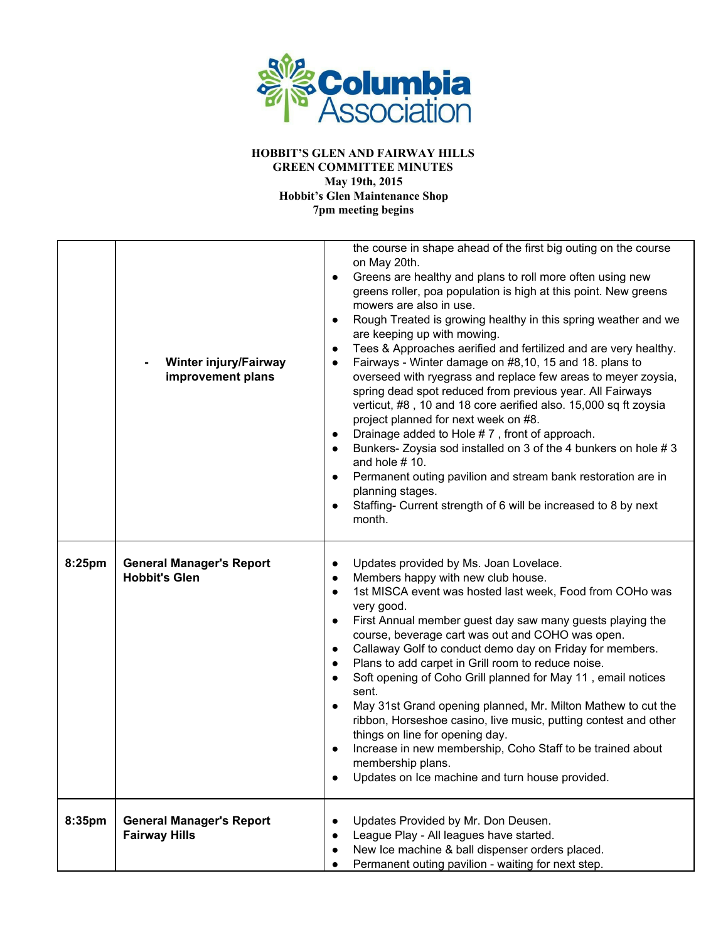

**HOBBIT'S GLEN AND FAIRWAY HILLS GREEN COMMITTEE MINUTES May 19th, 2015 Hobbit's Glen Maintenance Shop**

**7pm meeting begins**

|        | <b>Winter injury/Fairway</b><br>improvement plans       | the course in shape ahead of the first big outing on the course<br>on May 20th.<br>Greens are healthy and plans to roll more often using new<br>$\bullet$<br>greens roller, poa population is high at this point. New greens<br>mowers are also in use.<br>Rough Treated is growing healthy in this spring weather and we<br>are keeping up with mowing.<br>Tees & Approaches aerified and fertilized and are very healthy.<br>Fairways - Winter damage on #8,10, 15 and 18. plans to<br>overseed with ryegrass and replace few areas to meyer zoysia,<br>spring dead spot reduced from previous year. All Fairways<br>verticut, #8, 10 and 18 core aerified also. 15,000 sq ft zoysia<br>project planned for next week on #8.<br>Drainage added to Hole #7, front of approach.<br>Bunkers-Zoysia sod installed on 3 of the 4 bunkers on hole #3<br>and hole $# 10$ .<br>Permanent outing pavilion and stream bank restoration are in<br>planning stages.<br>Staffing- Current strength of 6 will be increased to 8 by next<br>month. |
|--------|---------------------------------------------------------|---------------------------------------------------------------------------------------------------------------------------------------------------------------------------------------------------------------------------------------------------------------------------------------------------------------------------------------------------------------------------------------------------------------------------------------------------------------------------------------------------------------------------------------------------------------------------------------------------------------------------------------------------------------------------------------------------------------------------------------------------------------------------------------------------------------------------------------------------------------------------------------------------------------------------------------------------------------------------------------------------------------------------------------|
| 8:25pm | <b>General Manager's Report</b><br><b>Hobbit's Glen</b> | Updates provided by Ms. Joan Lovelace.<br>$\bullet$<br>Members happy with new club house.<br>$\bullet$<br>1st MISCA event was hosted last week, Food from COHo was<br>$\bullet$<br>very good.<br>First Annual member guest day saw many guests playing the<br>$\bullet$<br>course, beverage cart was out and COHO was open.<br>Callaway Golf to conduct demo day on Friday for members.<br>$\bullet$<br>Plans to add carpet in Grill room to reduce noise.<br>Soft opening of Coho Grill planned for May 11, email notices<br>$\bullet$<br>sent.<br>May 31st Grand opening planned, Mr. Milton Mathew to cut the<br>ribbon, Horseshoe casino, live music, putting contest and other<br>things on line for opening day.<br>Increase in new membership, Coho Staff to be trained about<br>membership plans.<br>Updates on Ice machine and turn house provided.                                                                                                                                                                          |
| 8:35pm | <b>General Manager's Report</b><br><b>Fairway Hills</b> | Updates Provided by Mr. Don Deusen.<br>League Play - All leagues have started.<br>New Ice machine & ball dispenser orders placed.<br>Permanent outing pavilion - waiting for next step.<br>$\bullet$                                                                                                                                                                                                                                                                                                                                                                                                                                                                                                                                                                                                                                                                                                                                                                                                                                  |